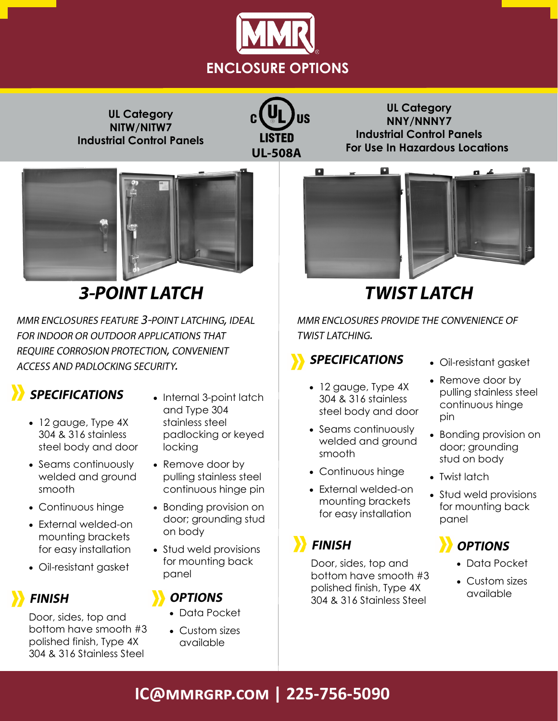

**UL Category NITW/NITW7 Industrial Control Panels**

LISTED **UL-508A** 

**UL Category NNY/NNNY7 Industrial Control Panels For Use In Hazardous Locations**



# **3-POINT LATCH**

MMR ENCLOSURES FEATURE 3-POINT LATCHING, IDEAL FOR INDOOR OR OUTDOOR APPLICATIONS THAT REQUIRE CORROSION PROTECTION, CONVENIENT ACCESS AND PADLOCKING SECURITY.

## **SPECIFICATIONS**

- 12 gauge, Type 4X 304 & 316 stainless steel body and door
- Seams continuously welded and ground smooth
- Continuous hinge
- External welded-on mounting brackets for easy installation
- Oil-resistant gasket

### **FINISH**

Door, sides, top and bottom have smooth #3 polished finish, Type 4X 304 & 316 Stainless Steel

- Internal 3-point latch and Type 304 stainless steel padlocking or keyed locking
- Remove door by pulling stainless steel continuous hinge pin
- Bonding provision on door; grounding stud on body
- Stud weld provisions for mounting back panel

### **OPTIONS**

- Data Pocket
- Custom sizes available



# **TWIST LATCH**

MMR ENCLOSURES PROVIDE THE CONVENIENCE OF TWIST LATCHING.

## **SPECIFICATIONS**

- 12 gauge, Type 4X 304 & 316 stainless steel body and door
- Seams continuously welded and ground smooth
- Continuous hinge
- External welded-on mounting brackets for easy installation

## **FINISH**

Door, sides, top and bottom have smooth #3 polished finish, Type 4X 304 & 316 Stainless Steel

- Oil-resistant gasket
- Remove door by pulling stainless steel continuous hinge pin
- Bonding provision on door; grounding stud on body
- Twist latch
- Stud weld provisions for mounting back panel

# **OPTIONS**

- Data Pocket
- Custom sizes available

## **IC@mmrgrp.com | 225-756-5090**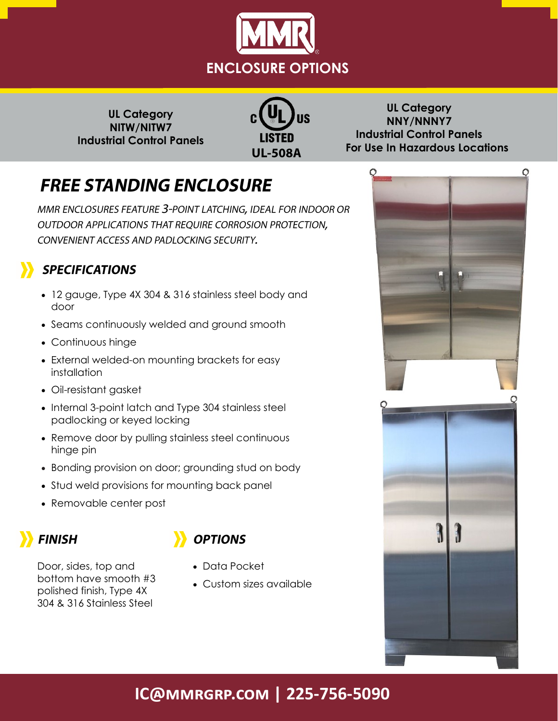

**UL Category NITW/NITW7 Industrial Control Panels**



**UL Category NNY/NNNY7 Industrial Control Panels For Use In Hazardous Locations**

# **FREE STANDING ENCLOSURE**

MMR ENCLOSURES FEATURE 3-POINT LATCHING, IDEAL FOR INDOOR OR OUTDOOR APPLICATIONS THAT REQUIRE CORROSION PROTECTION, CONVENIENT ACCESS AND PADLOCKING SECURITY.

### **SPECIFICATIONS**

- 12 gauge, Type 4X 304 & 316 stainless steel body and door
- Seams continuously welded and ground smooth
- Continuous hinge
- External welded-on mounting brackets for easy installation
- Oil-resistant gasket
- Internal 3-point latch and Type 304 stainless steel padlocking or keyed locking
- Remove door by pulling stainless steel continuous hinge pin
- Bonding provision on door; grounding stud on body
- Stud weld provisions for mounting back panel
- Removable center post



### **OPTIONS**

- Door, sides, top and bottom have smooth #3 polished finish, Type 4X 304 & 316 Stainless Steel
- Data Pocket
- Custom sizes available



## **IC@mmrgrp.com | 225-756-5090**